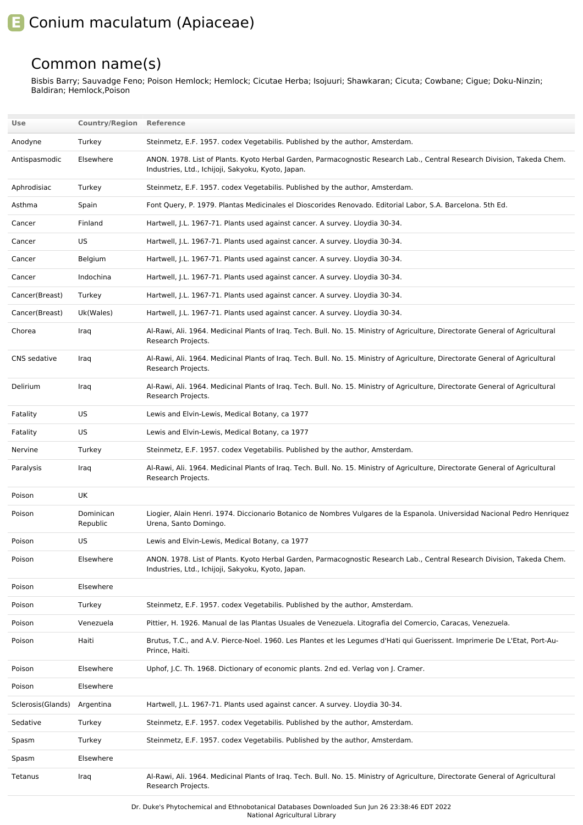## **E** Conium maculatum (Apiaceae)

## Common name(s)

Bisbis Barry; Sauvadge Feno; Poison Hemlock; Hemlock; Cicutae Herba; Isojuuri; Shawkaran; Cicuta; Cowbane; Cigue; Doku-Ninzin; Baldiran; Hemlock,Poison

| Use               | <b>Country/Region Reference</b> |                                                                                                                                                                              |
|-------------------|---------------------------------|------------------------------------------------------------------------------------------------------------------------------------------------------------------------------|
| Anodyne           | Turkey                          | Steinmetz, E.F. 1957. codex Vegetabilis. Published by the author, Amsterdam.                                                                                                 |
| Antispasmodic     | Elsewhere                       | ANON. 1978. List of Plants. Kyoto Herbal Garden, Parmacognostic Research Lab., Central Research Division, Takeda Chem.<br>Industries, Ltd., Ichijoji, Sakyoku, Kyoto, Japan. |
| Aphrodisiac       | Turkey                          | Steinmetz, E.F. 1957. codex Vegetabilis. Published by the author, Amsterdam.                                                                                                 |
| Asthma            | Spain                           | Font Query, P. 1979. Plantas Medicinales el Dioscorides Renovado. Editorial Labor, S.A. Barcelona. 5th Ed.                                                                   |
| Cancer            | Finland                         | Hartwell, J.L. 1967-71. Plants used against cancer. A survey. Lloydia 30-34.                                                                                                 |
| Cancer            | US                              | Hartwell, J.L. 1967-71. Plants used against cancer. A survey. Lloydia 30-34.                                                                                                 |
| Cancer            | Belgium                         | Hartwell, J.L. 1967-71. Plants used against cancer. A survey. Lloydia 30-34.                                                                                                 |
| Cancer            | Indochina                       | Hartwell, J.L. 1967-71. Plants used against cancer. A survey. Lloydia 30-34.                                                                                                 |
| Cancer(Breast)    | Turkey                          | Hartwell, J.L. 1967-71. Plants used against cancer. A survey. Lloydia 30-34.                                                                                                 |
| Cancer(Breast)    | Uk(Wales)                       | Hartwell, J.L. 1967-71. Plants used against cancer. A survey. Lloydia 30-34.                                                                                                 |
| Chorea            | Iraq                            | Al-Rawi, Ali. 1964. Medicinal Plants of Iraq. Tech. Bull. No. 15. Ministry of Agriculture, Directorate General of Agricultural<br>Research Projects.                         |
| CNS sedative      | Iraq                            | Al-Rawi, Ali. 1964. Medicinal Plants of Iraq. Tech. Bull. No. 15. Ministry of Agriculture, Directorate General of Agricultural<br>Research Projects.                         |
| Delirium          | Iraq                            | Al-Rawi, Ali. 1964. Medicinal Plants of Iraq. Tech. Bull. No. 15. Ministry of Agriculture, Directorate General of Agricultural<br>Research Projects.                         |
| Fatality          | US                              | Lewis and Elvin-Lewis, Medical Botany, ca 1977                                                                                                                               |
| Fatality          | US                              | Lewis and Elvin-Lewis, Medical Botany, ca 1977                                                                                                                               |
| Nervine           | Turkey                          | Steinmetz, E.F. 1957. codex Vegetabilis. Published by the author, Amsterdam.                                                                                                 |
| Paralysis         | Iraq                            | Al-Rawi, Ali. 1964. Medicinal Plants of Iraq. Tech. Bull. No. 15. Ministry of Agriculture, Directorate General of Agricultural<br>Research Projects.                         |
| Poison            | UK                              |                                                                                                                                                                              |
| Poison            | Dominican<br>Republic           | Liogier, Alain Henri. 1974. Diccionario Botanico de Nombres Vulgares de la Espanola. Universidad Nacional Pedro Henriquez<br>Urena, Santo Domingo.                           |
| Poison            | US                              | Lewis and Elvin-Lewis, Medical Botany, ca 1977                                                                                                                               |
| Poison            | Elsewhere                       | ANON. 1978. List of Plants. Kyoto Herbal Garden, Parmacognostic Research Lab., Central Research Division, Takeda Chem.<br>Industries, Ltd., Ichijoji, Sakyoku, Kyoto, Japan. |
| Poison            | Elsewhere                       |                                                                                                                                                                              |
| Poison            | Turkey                          | Steinmetz, E.F. 1957. codex Vegetabilis. Published by the author, Amsterdam.                                                                                                 |
| Poison            | Venezuela                       | Pittier, H. 1926. Manual de las Plantas Usuales de Venezuela. Litografia del Comercio, Caracas, Venezuela.                                                                   |
| Poison            | Haiti                           | Brutus, T.C., and A.V. Pierce-Noel. 1960. Les Plantes et les Legumes d'Hati qui Guerissent. Imprimerie De L'Etat, Port-Au-<br>Prince, Haiti.                                 |
| Poison            | Elsewhere                       | Uphof, J.C. Th. 1968. Dictionary of economic plants. 2nd ed. Verlag von J. Cramer.                                                                                           |
| Poison            | Elsewhere                       |                                                                                                                                                                              |
| Sclerosis(Glands) | Argentina                       | Hartwell, J.L. 1967-71. Plants used against cancer. A survey. Lloydia 30-34.                                                                                                 |
| Sedative          | Turkey                          | Steinmetz, E.F. 1957. codex Vegetabilis. Published by the author, Amsterdam.                                                                                                 |
| Spasm             | Turkey                          | Steinmetz, E.F. 1957. codex Vegetabilis. Published by the author, Amsterdam.                                                                                                 |
| Spasm             | Elsewhere                       |                                                                                                                                                                              |
| Tetanus           | Iraq                            | Al-Rawi, Ali. 1964. Medicinal Plants of Iraq. Tech. Bull. No. 15. Ministry of Agriculture, Directorate General of Agricultural<br>Research Projects.                         |